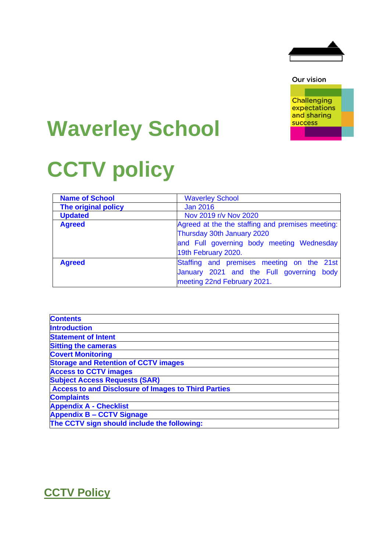

Our vision

**Challenging** expectations and sharing **success** 

# **Waverley School**

# **CCTV policy**

| <b>Name of School</b> | <b>Waverley School</b>                           |
|-----------------------|--------------------------------------------------|
| The original policy   | <b>Jan 2016</b>                                  |
| <b>Updated</b>        | Nov 2019 r/v Nov 2020                            |
| <b>Agreed</b>         | Agreed at the the staffing and premises meeting: |
|                       | Thursday 30th January 2020                       |
|                       | and Full governing body meeting Wednesday        |
|                       | 19th February 2020.                              |
| <b>Agreed</b>         | Staffing and premises meeting on the 21st        |
|                       | January 2021 and the Full governing<br>body      |
|                       | meeting 22nd February 2021.                      |

| <b>Contents</b>                                            |
|------------------------------------------------------------|
| <b>Introduction</b>                                        |
| <b>Statement of Intent</b>                                 |
| <b>Sitting the cameras</b>                                 |
| <b>Covert Monitoring</b>                                   |
| <b>Storage and Retention of CCTV images</b>                |
| <b>Access to CCTV images</b>                               |
| <b>Subject Access Requests (SAR)</b>                       |
| <b>Access to and Disclosure of Images to Third Parties</b> |
| <b>Complaints</b>                                          |
| <b>Appendix A - Checklist</b>                              |
| <b>Appendix B - CCTV Signage</b>                           |
| The CCTV sign should include the following:                |

# **CCTV Policy**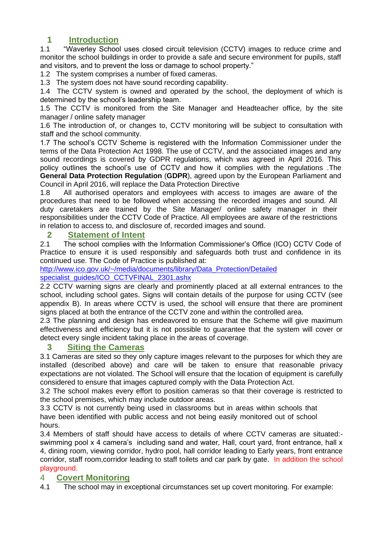## **1 Introduction**

1.1 "Waverley School uses closed circuit television (CCTV) images to reduce crime and monitor the school buildings in order to provide a safe and secure environment for pupils, staff and visitors, and to prevent the loss or damage to school property."

1.2 The system comprises a number of fixed cameras.

1.3 The system does not have sound recording capability.

1.4 The CCTV system is owned and operated by the school, the deployment of which is determined by the school's leadership team.

1.5 The CCTV is monitored from the Site Manager and Headteacher office, by the site manager / online safety manager

1.6 The introduction of, or changes to, CCTV monitoring will be subject to consultation with staff and the school community.

1.7 The school's CCTV Scheme is registered with the Information Commissioner under the terms of the Data Protection Act 1998. The use of CCTV, and the associated images and any sound recordings is covered by GDPR regulations, which was agreed in April 2016. This policy outlines the school's use of CCTV and how it complies with the regulations .The **General Data Protection Regulation** (**GDPR**), agreed upon by the European Parliament and Council in April 2016, will replace the Data Protection Directive

1.8 All authorised operators and employees with access to images are aware of the procedures that need to be followed when accessing the recorded images and sound. All duty caretakers are trained by the Site Manager/ online safety manager in their responsibilities under the CCTV Code of Practice. All employees are aware of the restrictions in relation to access to, and disclosure of, recorded images and sound.

#### **2 Statement of Intent**

2.1 The school complies with the Information Commissioner's Office (ICO) CCTV Code of Practice to ensure it is used responsibly and safeguards both trust and confidence in its continued use. The Code of Practice is published at:

[http://www.ico.gov.uk/~/media/documents/library/Data\\_Protection/Detailed](http://www.ico.gov.uk/~/media/documents/library/Data_Protection/Detailedspecialist_guides/ICO_CCTVFINAL_2301.ashx) specialist\_quides/ICO\_CCTVFINAL\_2301.ashx

2.2 CCTV warning signs are clearly and prominently placed at all external entrances to the school, including school gates. Signs will contain details of the purpose for using CCTV (see appendix B). In areas where CCTV is used, the school will ensure that there are prominent signs placed at both the entrance of the CCTV zone and within the controlled area.

2.3 The planning and design has endeavored to ensure that the Scheme will give maximum effectiveness and efficiency but it is not possible to guarantee that the system will cover or detect every single incident taking place in the areas of coverage.

#### **3 Siting the Cameras**

3.1 Cameras are sited so they only capture images relevant to the purposes for which they are installed (described above) and care will be taken to ensure that reasonable privacy expectations are not violated. The School will ensure that the location of equipment is carefully considered to ensure that images captured comply with the Data Protection Act.

3.2 The school makes every effort to position cameras so that their coverage is restricted to the school premises, which may include outdoor areas.

3.3 CCTV is not currently being used in classrooms but in areas within schools that have been identified with public access and not being easily monitored out of school hours.

3.4 Members of staff should have access to details of where CCTV cameras are situated: swimming pool x 4 camera's including sand and water, Hall, court yard, front entrance, hall x 4, dining room, viewing corridor, hydro pool, hall corridor leading to Early years, front entrance corridor, staff room, corridor leading to staff toilets and car park by gate. In addition the school playground.

#### 4 **Covert Monitoring**

4.1 The school may in exceptional circumstances set up covert monitoring. For example: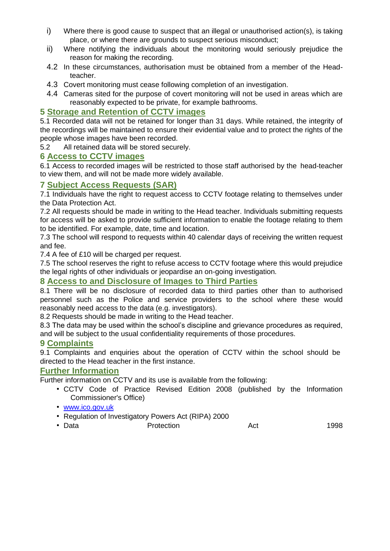- i) Where there is good cause to suspect that an illegal or unauthorised action(s), is taking place, or where there are grounds to suspect serious misconduct;
- ii) Where notifying the individuals about the monitoring would seriously prejudice the reason for making the recording.
- 4.2 In these circumstances, authorisation must be obtained from a member of the Headteacher.
- 4.3 Covert monitoring must cease following completion of an investigation.
- 4.4 Cameras sited for the purpose of covert monitoring will not be used in areas which are reasonably expected to be private, for example bathrooms.

#### **5 Storage and Retention of CCTV images**

5.1 Recorded data will not be retained for longer than 31 days. While retained, the integrity of the recordings will be maintained to ensure their evidential value and to protect the rights of the people whose images have been recorded.

5.2 All retained data will be stored securely.

#### **6 Access to CCTV images**

6.1 Access to recorded images will be restricted to those staff authorised by the head-teacher to view them, and will not be made more widely available.

#### **7 Subject Access Requests (SAR)**

7.1 Individuals have the right to request access to CCTV footage relating to themselves under the Data Protection Act.

7.2 All requests should be made in writing to the Head teacher. Individuals submitting requests for access will be asked to provide sufficient information to enable the footage relating to them to be identified. For example, date, time and location.

7.3 The school will respond to requests within 40 calendar days of receiving the written request and fee.

7.4 A fee of £10 will be charged per request.

7.5 The school reserves the right to refuse access to CCTV footage where this would prejudice the legal rights of other individuals or jeopardise an on-going investigation.

#### **8 Access to and Disclosure of Images to Third Parties**

8.1 There will be no disclosure of recorded data to third parties other than to authorised personnel such as the Police and service providers to the school where these would reasonably need access to the data (e.g. investigators).

8.2 Requests should be made in writing to the Head teacher.

8.3 The data may be used within the school's discipline and grievance procedures as required, and will be subject to the usual confidentiality requirements of those procedures.

#### **9 Complaints**

9.1 Complaints and enquiries about the operation of CCTV within the school should be directed to the Head teacher in the first instance.

#### **Further Information**

Further information on CCTV and its use is available from the following:

- CCTV Code of Practice Revised Edition 2008 (published by the Information Commissioner's Office)
- [www.ico.gov.uk](http://www.ico.gov.uk/)
- Regulation of Investigatory Powers Act (RIPA) 2000
- Data Protection Act 1998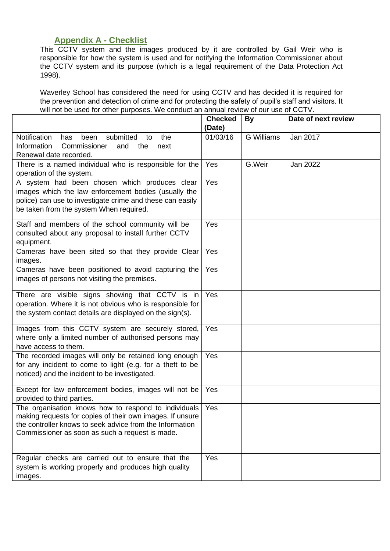### **Appendix A - Checklist**

This CCTV system and the images produced by it are controlled by Gail Weir who is responsible for how the system is used and for notifying the Information Commissioner about the CCTV system and its purpose (which is a legal requirement of the Data Protection Act 1998).

Waverley School has considered the need for using CCTV and has decided it is required for the prevention and detection of crime and for protecting the safety of pupil's staff and visitors. It will not be used for other purposes. We conduct an annual review of our use of CCTV.

|                                                                                                                                                                                                                                      | <b>Checked</b><br>(Date) | <b>By</b>         | Date of next review |
|--------------------------------------------------------------------------------------------------------------------------------------------------------------------------------------------------------------------------------------|--------------------------|-------------------|---------------------|
| Notification<br>submitted<br>the<br>been<br>has<br>to<br>Information<br>Commissioner<br>and<br>the<br>next<br>Renewal date recorded.                                                                                                 | 01/03/16                 | <b>G</b> Williams | Jan 2017            |
| There is a named individual who is responsible for the<br>operation of the system.                                                                                                                                                   | Yes                      | G.Weir            | Jan 2022            |
| A system had been chosen which produces clear<br>images which the law enforcement bodies (usually the<br>police) can use to investigate crime and these can easily<br>be taken from the system When required.                        | Yes                      |                   |                     |
| Staff and members of the school community will be<br>consulted about any proposal to install further CCTV<br>equipment.                                                                                                              | Yes                      |                   |                     |
| Cameras have been sited so that they provide Clear   Yes<br>images.                                                                                                                                                                  |                          |                   |                     |
| Cameras have been positioned to avoid capturing the<br>images of persons not visiting the premises.                                                                                                                                  | Yes                      |                   |                     |
| There are visible signs showing that CCTV is in<br>operation. Where it is not obvious who is responsible for<br>the system contact details are displayed on the sign(s).                                                             | Yes                      |                   |                     |
| Images from this CCTV system are securely stored,<br>where only a limited number of authorised persons may<br>have access to them.                                                                                                   | Yes                      |                   |                     |
| The recorded images will only be retained long enough<br>for any incident to come to light (e.g. for a theft to be<br>noticed) and the incident to be investigated.                                                                  | Yes                      |                   |                     |
| Except for law enforcement bodies, images will not be<br>provided to third parties.                                                                                                                                                  | Yes                      |                   |                     |
| The organisation knows how to respond to individuals Yes<br>making requests for copies of their own images. If unsure<br>the controller knows to seek advice from the Information<br>Commissioner as soon as such a request is made. |                          |                   |                     |
| Regular checks are carried out to ensure that the<br>system is working properly and produces high quality<br>images.                                                                                                                 | Yes                      |                   |                     |